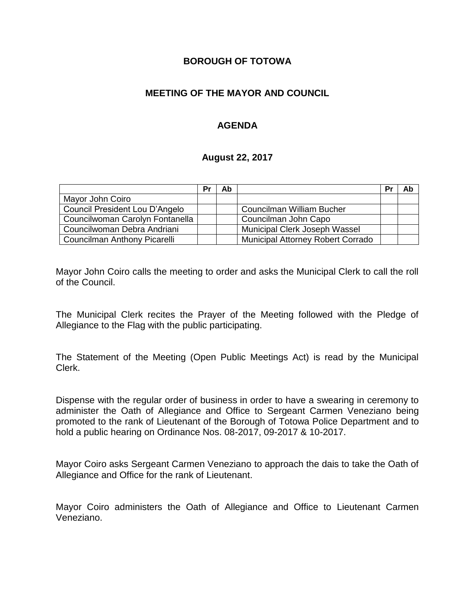#### **BOROUGH OF TOTOWA**

## **MEETING OF THE MAYOR AND COUNCIL**

## **AGENDA**

#### **August 22, 2017**

|                                 | Pr | Ab |                                   | Pr | Ab |
|---------------------------------|----|----|-----------------------------------|----|----|
| Mayor John Coiro                |    |    |                                   |    |    |
| Council President Lou D'Angelo  |    |    | <b>Councilman William Bucher</b>  |    |    |
| Councilwoman Carolyn Fontanella |    |    | Councilman John Capo              |    |    |
| Councilwoman Debra Andriani     |    |    | Municipal Clerk Joseph Wassel     |    |    |
| Councilman Anthony Picarelli    |    |    | Municipal Attorney Robert Corrado |    |    |

Mayor John Coiro calls the meeting to order and asks the Municipal Clerk to call the roll of the Council.

The Municipal Clerk recites the Prayer of the Meeting followed with the Pledge of Allegiance to the Flag with the public participating.

The Statement of the Meeting (Open Public Meetings Act) is read by the Municipal Clerk.

Dispense with the regular order of business in order to have a swearing in ceremony to administer the Oath of Allegiance and Office to Sergeant Carmen Veneziano being promoted to the rank of Lieutenant of the Borough of Totowa Police Department and to hold a public hearing on Ordinance Nos. 08-2017, 09-2017 & 10-2017.

Mayor Coiro asks Sergeant Carmen Veneziano to approach the dais to take the Oath of Allegiance and Office for the rank of Lieutenant.

Mayor Coiro administers the Oath of Allegiance and Office to Lieutenant Carmen Veneziano.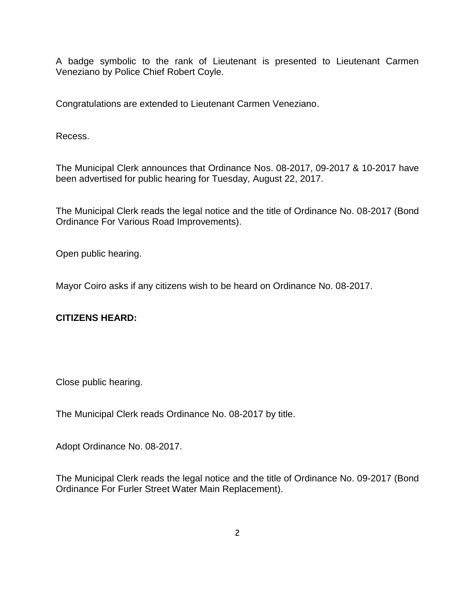A badge symbolic to the rank of Lieutenant is presented to Lieutenant Carmen Veneziano by Police Chief Robert Coyle.

Congratulations are extended to Lieutenant Carmen Veneziano.

Recess.

The Municipal Clerk announces that Ordinance Nos. 08-2017, 09-2017 & 10-2017 have been advertised for public hearing for Tuesday, August 22, 2017.

The Municipal Clerk reads the legal notice and the title of Ordinance No. 08-2017 (Bond Ordinance For Various Road Improvements).

Open public hearing.

Mayor Coiro asks if any citizens wish to be heard on Ordinance No. 08-2017.

# **CITIZENS HEARD:**

Close public hearing.

The Municipal Clerk reads Ordinance No. 08-2017 by title.

Adopt Ordinance No. 08-2017.

The Municipal Clerk reads the legal notice and the title of Ordinance No. 09-2017 (Bond Ordinance For Furler Street Water Main Replacement).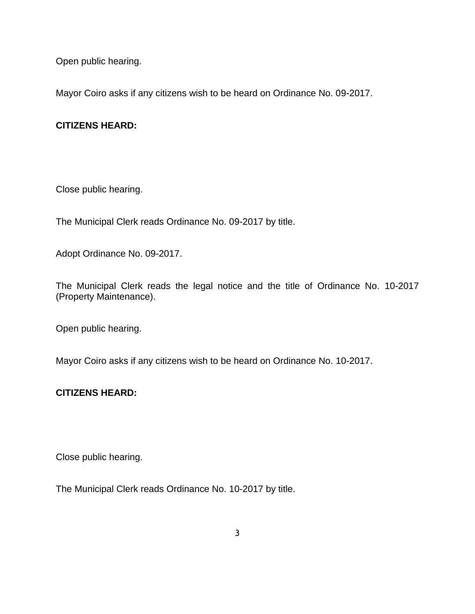Open public hearing.

Mayor Coiro asks if any citizens wish to be heard on Ordinance No. 09-2017.

## **CITIZENS HEARD:**

Close public hearing.

The Municipal Clerk reads Ordinance No. 09-2017 by title.

Adopt Ordinance No. 09-2017.

The Municipal Clerk reads the legal notice and the title of Ordinance No. 10-2017 (Property Maintenance).

Open public hearing.

Mayor Coiro asks if any citizens wish to be heard on Ordinance No. 10-2017.

# **CITIZENS HEARD:**

Close public hearing.

The Municipal Clerk reads Ordinance No. 10-2017 by title.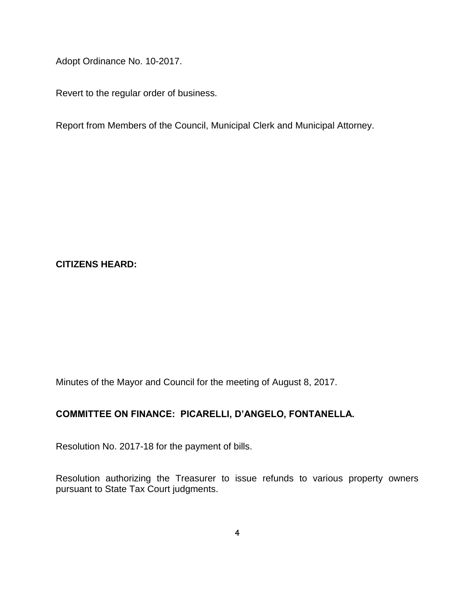Adopt Ordinance No. 10-2017.

Revert to the regular order of business.

Report from Members of the Council, Municipal Clerk and Municipal Attorney.

## **CITIZENS HEARD:**

Minutes of the Mayor and Council for the meeting of August 8, 2017.

#### **COMMITTEE ON FINANCE: PICARELLI, D'ANGELO, FONTANELLA.**

Resolution No. 2017-18 for the payment of bills.

Resolution authorizing the Treasurer to issue refunds to various property owners pursuant to State Tax Court judgments.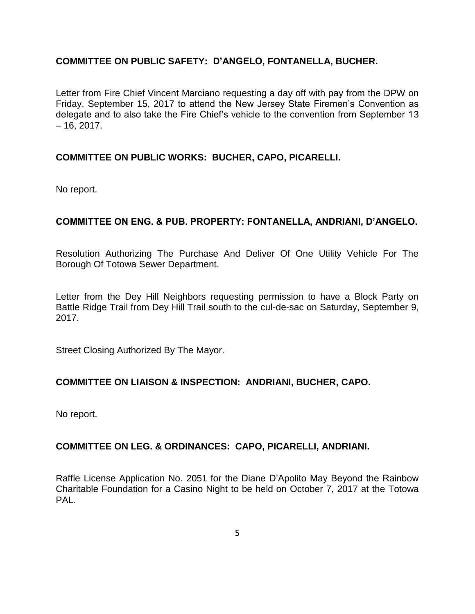## **COMMITTEE ON PUBLIC SAFETY: D'ANGELO, FONTANELLA, BUCHER.**

Letter from Fire Chief Vincent Marciano requesting a day off with pay from the DPW on Friday, September 15, 2017 to attend the New Jersey State Firemen's Convention as delegate and to also take the Fire Chief's vehicle to the convention from September 13  $-16, 2017.$ 

### **COMMITTEE ON PUBLIC WORKS: BUCHER, CAPO, PICARELLI.**

No report.

## **COMMITTEE ON ENG. & PUB. PROPERTY: FONTANELLA, ANDRIANI, D'ANGELO.**

Resolution Authorizing The Purchase And Deliver Of One Utility Vehicle For The Borough Of Totowa Sewer Department.

Letter from the Dey Hill Neighbors requesting permission to have a Block Party on Battle Ridge Trail from Dey Hill Trail south to the cul-de-sac on Saturday, September 9, 2017.

Street Closing Authorized By The Mayor.

#### **COMMITTEE ON LIAISON & INSPECTION: ANDRIANI, BUCHER, CAPO.**

No report.

#### **COMMITTEE ON LEG. & ORDINANCES: CAPO, PICARELLI, ANDRIANI.**

Raffle License Application No. 2051 for the Diane D'Apolito May Beyond the Rainbow Charitable Foundation for a Casino Night to be held on October 7, 2017 at the Totowa PAL.